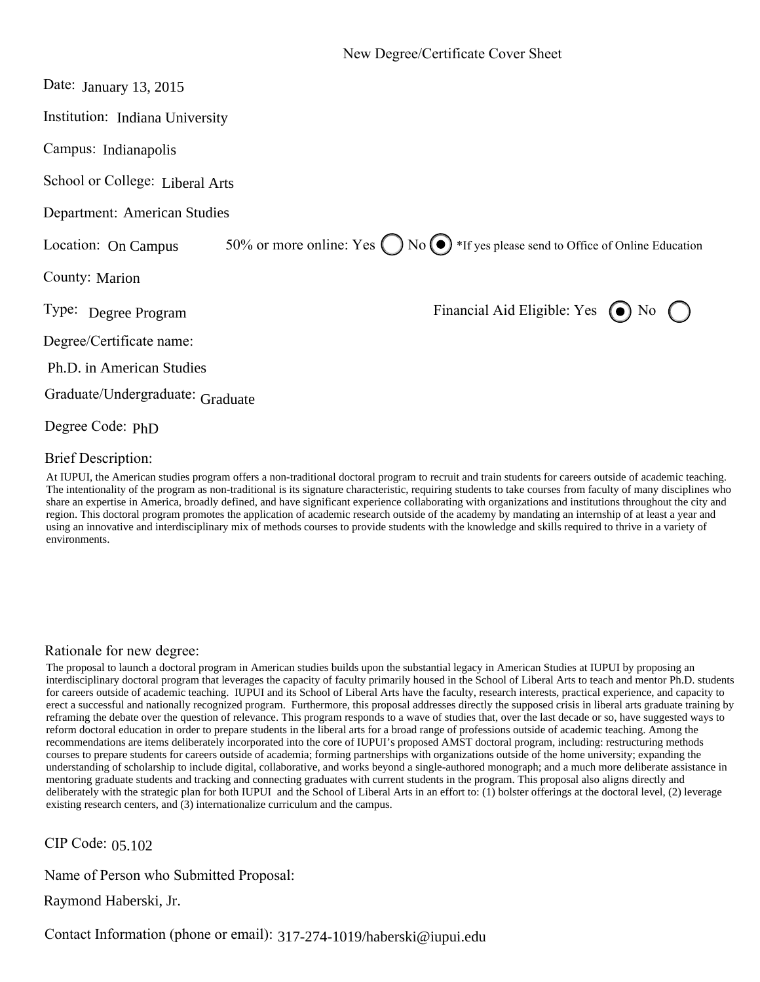| Date: January 13, 2015           |                                                                                                   |
|----------------------------------|---------------------------------------------------------------------------------------------------|
| Institution: Indiana University  |                                                                                                   |
| Campus: Indianapolis             |                                                                                                   |
| School or College: Liberal Arts  |                                                                                                   |
| Department: American Studies     |                                                                                                   |
| Location: On Campus              | 50% or more online: Yes $\bigcap$ No $\bigodot$ *If yes please send to Office of Online Education |
| County: Marion                   |                                                                                                   |
| Type: Degree Program             | Financial Aid Eligible: Yes (a) No (                                                              |
| Degree/Certificate name:         |                                                                                                   |
| Ph.D. in American Studies        |                                                                                                   |
| Graduate/Undergraduate: Graduate |                                                                                                   |
| Degree Code: PhD                 |                                                                                                   |

#### Brief Description:

At IUPUI, the American studies program offers a non-traditional doctoral program to recruit and train students for careers outside of academic teaching. The intentionality of the program as non-traditional is its signature characteristic, requiring students to take courses from faculty of many disciplines who share an expertise in America, broadly defined, and have significant experience collaborating with organizations and institutions throughout the city and region. This doctoral program promotes the application of academic research outside of the academy by mandating an internship of at least a year and using an innovative and interdisciplinary mix of methods courses to provide students with the knowledge and skills required to thrive in a variety of environments.

#### Rationale for new degree:

The proposal to launch a doctoral program in American studies builds upon the substantial legacy in American Studies at IUPUI by proposing an interdisciplinary doctoral program that leverages the capacity of faculty primarily housed in the School of Liberal Arts to teach and mentor Ph.D. students for careers outside of academic teaching. IUPUI and its School of Liberal Arts have the faculty, research interests, practical experience, and capacity to erect a successful and nationally recognized program. Furthermore, this proposal addresses directly the supposed crisis in liberal arts graduate training by reframing the debate over the question of relevance. This program responds to a wave of studies that, over the last decade or so, have suggested ways to reform doctoral education in order to prepare students in the liberal arts for a broad range of professions outside of academic teaching. Among the recommendations are items deliberately incorporated into the core of IUPUI's proposed AMST doctoral program, including: restructuring methods courses to prepare students for careers outside of academia; forming partnerships with organizations outside of the home university; expanding the understanding of scholarship to include digital, collaborative, and works beyond a single-authored monograph; and a much more deliberate assistance in mentoring graduate students and tracking and connecting graduates with current students in the program. This proposal also aligns directly and deliberately with the strategic plan for both IUPUI and the School of Liberal Arts in an effort to: (1) bolster offerings at the doctoral level, (2) leverage existing research centers, and (3) internationalize curriculum and the campus.

CIP Code: 05.102

Name of Person who Submitted Proposal:

Raymond Haberski, Jr.

Contact Information (phone or email): 317-274-1019/haberski@iupui.edu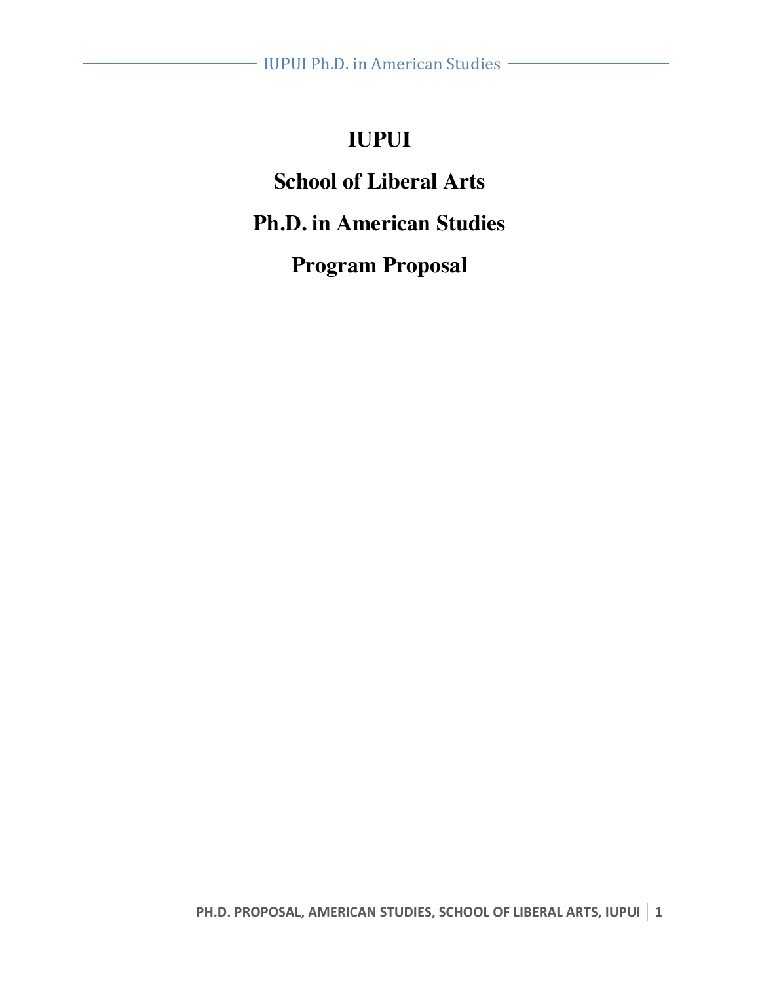# **IUPUI**

# **School of Liberal Arts**

# **Ph.D. in American Studies**

# **Program Proposal**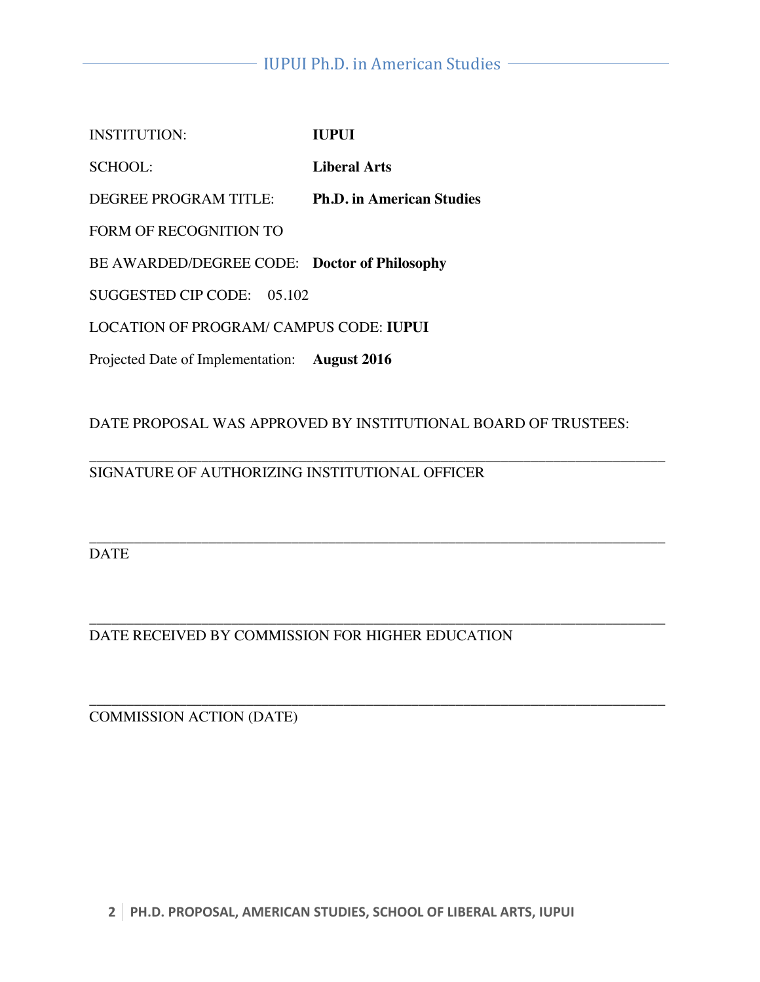| <b>INSTITUTION:</b>                          | <b>IUPUI</b>                     |
|----------------------------------------------|----------------------------------|
| SCHOOL:                                      | Liberal Arts                     |
| DEGREE PROGRAM TITLE:                        | <b>Ph.D.</b> in American Studies |
| FORM OF RECOGNITION TO                       |                                  |
| BE AWARDED/DEGREE CODE: Doctor of Philosophy |                                  |
| SUGGESTED CIP CODE:<br>05 102                |                                  |
| LOCATION OF PROGRAM/ CAMPUS CODE: IUPUI      |                                  |
|                                              |                                  |

Projected Date of Implementation: **August 2016**

DATE PROPOSAL WAS APPROVED BY INSTITUTIONAL BOARD OF TRUSTEES:

#### \_\_\_\_\_\_\_\_\_\_\_\_\_\_\_\_\_\_\_\_\_\_\_\_\_\_\_\_\_\_\_\_\_\_\_\_\_\_\_\_\_\_\_\_\_\_\_\_\_\_\_\_\_\_\_\_\_\_\_\_\_\_\_\_\_\_\_\_\_\_\_\_\_\_\_\_\_ SIGNATURE OF AUTHORIZING INSTITUTIONAL OFFICER

\_\_\_\_\_\_\_\_\_\_\_\_\_\_\_\_\_\_\_\_\_\_\_\_\_\_\_\_\_\_\_\_\_\_\_\_\_\_\_\_\_\_\_\_\_\_\_\_\_\_\_\_\_\_\_\_\_\_\_\_\_\_\_\_\_\_\_\_\_\_\_\_\_\_\_\_\_ DATE

\_\_\_\_\_\_\_\_\_\_\_\_\_\_\_\_\_\_\_\_\_\_\_\_\_\_\_\_\_\_\_\_\_\_\_\_\_\_\_\_\_\_\_\_\_\_\_\_\_\_\_\_\_\_\_\_\_\_\_\_\_\_\_\_\_\_\_\_\_\_\_\_\_\_\_\_\_ DATE RECEIVED BY COMMISSION FOR HIGHER EDUCATION

\_\_\_\_\_\_\_\_\_\_\_\_\_\_\_\_\_\_\_\_\_\_\_\_\_\_\_\_\_\_\_\_\_\_\_\_\_\_\_\_\_\_\_\_\_\_\_\_\_\_\_\_\_\_\_\_\_\_\_\_\_\_\_\_\_\_\_\_\_\_\_\_\_\_\_\_\_ COMMISSION ACTION (DATE)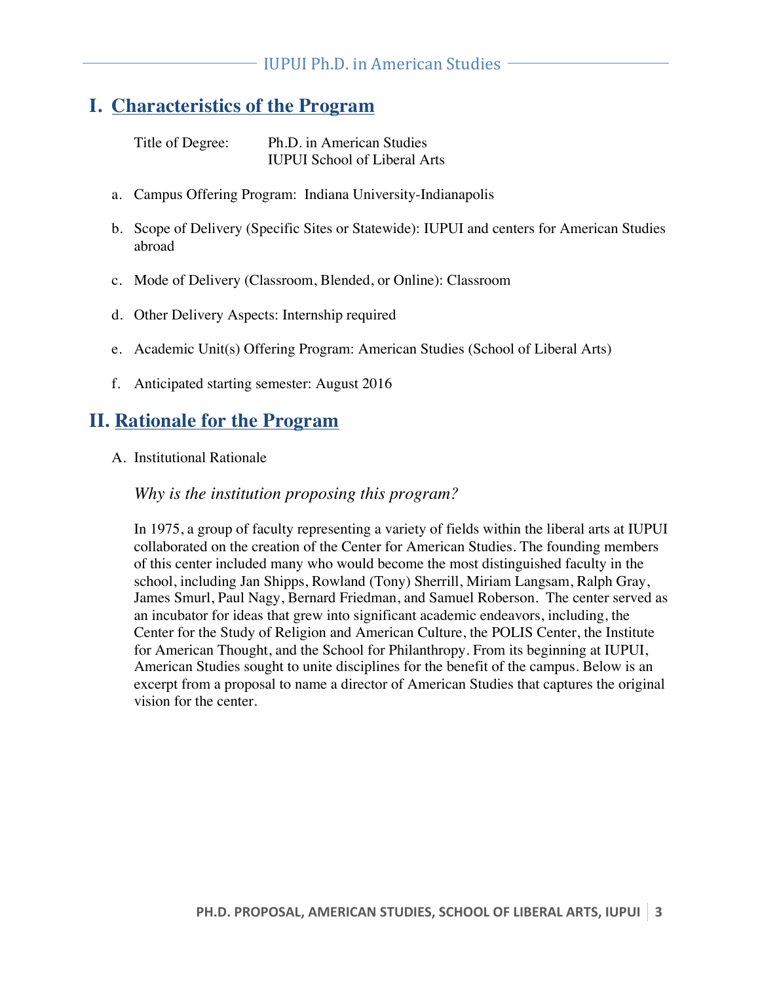## **I. Characteristics of the Program**

Title of Degree: Ph.D. in American Studies IUPUI School of Liberal Arts

- a. Campus Offering Program: Indiana University-Indianapolis
- b. Scope of Delivery (Specific Sites or Statewide): IUPUI and centers for American Studies abroad
- c. Mode of Delivery (Classroom, Blended, or Online): Classroom
- d. Other Delivery Aspects: Internship required
- e. Academic Unit(s) Offering Program: American Studies (School of Liberal Arts)
- f. Anticipated starting semester: August 2016

## **II. Rationale for the Program**

A. Institutional Rationale

#### *Why is the institution proposing this program?*

In 1975, a group of faculty representing a variety of fields within the liberal arts at IUPUI collaborated on the creation of the Center for American Studies. The founding members of this center included many who would become the most distinguished faculty in the school, including Jan Shipps, Rowland (Tony) Sherrill, Miriam Langsam, Ralph Gray, James Smurl, Paul Nagy, Bernard Friedman, and Samuel Roberson. The center served as an incubator for ideas that grew into significant academic endeavors, including, the Center for the Study of Religion and American Culture, the POLIS Center, the Institute for American Thought, and the School for Philanthropy. From its beginning at IUPUI, American Studies sought to unite disciplines for the benefit of the campus. Below is an excerpt from a proposal to name a director of American Studies that captures the original vision for the center.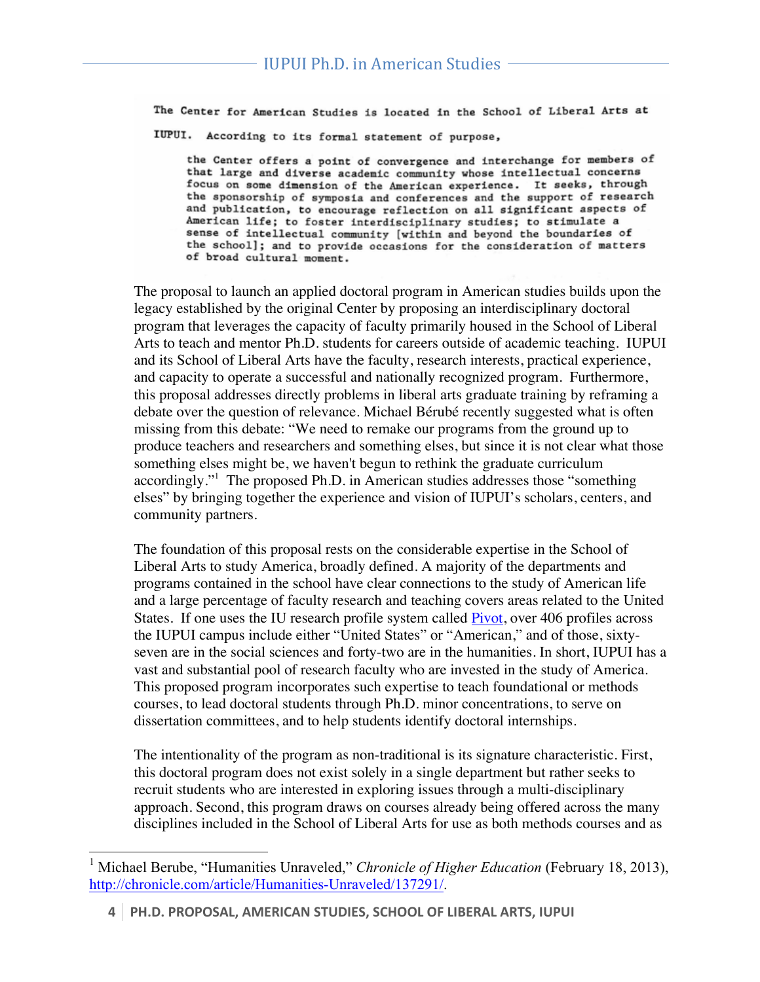The Center for American Studies is located in the School of Liberal Arts at IUPUI. According to its formal statement of purpose,

the Center offers a point of convergence and interchange for members of that large and diverse academic community whose intellectual concerns focus on some dimension of the American experience. It seeks, through the sponsorship of symposia and conferences and the support of research and publication, to encourage reflection on all significant aspects of American life; to foster interdisciplinary studies; to stimulate a sense of intellectual community [within and beyond the boundaries of the school]; and to provide occasions for the consideration of matters of broad cultural moment.

The proposal to launch an applied doctoral program in American studies builds upon the legacy established by the original Center by proposing an interdisciplinary doctoral program that leverages the capacity of faculty primarily housed in the School of Liberal Arts to teach and mentor Ph.D. students for careers outside of academic teaching. IUPUI and its School of Liberal Arts have the faculty, research interests, practical experience, and capacity to operate a successful and nationally recognized program. Furthermore, this proposal addresses directly problems in liberal arts graduate training by reframing a debate over the question of relevance. Michael Bérubé recently suggested what is often missing from this debate: "We need to remake our programs from the ground up to produce teachers and researchers and something elses, but since it is not clear what those something elses might be, we haven't begun to rethink the graduate curriculum accordingly."<sup>1</sup> The proposed Ph.D. in American studies addresses those "something elses" by bringing together the experience and vision of IUPUI's scholars, centers, and community partners.

The foundation of this proposal rests on the considerable expertise in the School of Liberal Arts to study America, broadly defined. A majority of the departments and programs contained in the school have clear connections to the study of American life and a large percentage of faculty research and teaching covers areas related to the United States. If one uses the IU research profile system called Pivot, over 406 profiles across the IUPUI campus include either "United States" or "American," and of those, sixtyseven are in the social sciences and forty-two are in the humanities. In short, IUPUI has a vast and substantial pool of research faculty who are invested in the study of America. This proposed program incorporates such expertise to teach foundational or methods courses, to lead doctoral students through Ph.D. minor concentrations, to serve on dissertation committees, and to help students identify doctoral internships.

The intentionality of the program as non-traditional is its signature characteristic. First, this doctoral program does not exist solely in a single department but rather seeks to recruit students who are interested in exploring issues through a multi-disciplinary approach. Second, this program draws on courses already being offered across the many disciplines included in the School of Liberal Arts for use as both methods courses and as

<sup>&</sup>lt;sup>1</sup> Michael Berube, "Humanities Unraveled," *Chronicle of Higher Education* (February 18, 2013), http://chronicle.com/article/Humanities-Unraveled/137291/.

**<sup>4</sup> PH.D. PROPOSAL, AMERICAN STUDIES, SCHOOL OF LIBERAL ARTS, IUPUI**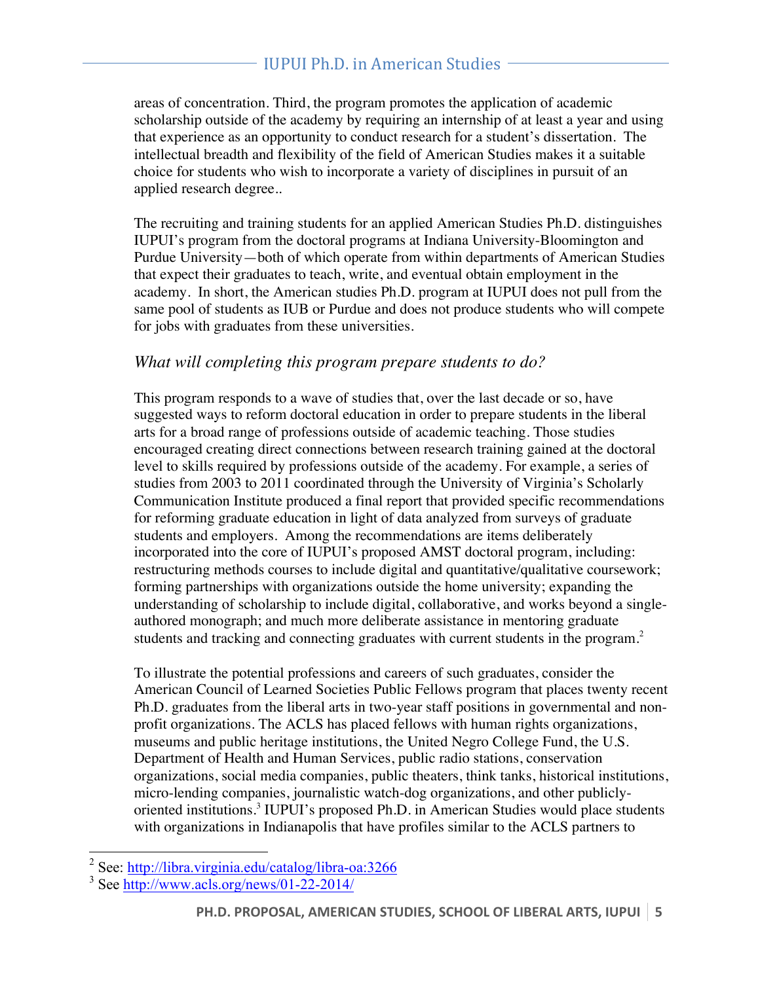areas of concentration. Third, the program promotes the application of academic scholarship outside of the academy by requiring an internship of at least a year and using that experience as an opportunity to conduct research for a student's dissertation. The intellectual breadth and flexibility of the field of American Studies makes it a suitable choice for students who wish to incorporate a variety of disciplines in pursuit of an applied research degree..

The recruiting and training students for an applied American Studies Ph.D. distinguishes IUPUI's program from the doctoral programs at Indiana University-Bloomington and Purdue University—both of which operate from within departments of American Studies that expect their graduates to teach, write, and eventual obtain employment in the academy. In short, the American studies Ph.D. program at IUPUI does not pull from the same pool of students as IUB or Purdue and does not produce students who will compete for jobs with graduates from these universities.

### *What will completing this program prepare students to do?*

This program responds to a wave of studies that, over the last decade or so, have suggested ways to reform doctoral education in order to prepare students in the liberal arts for a broad range of professions outside of academic teaching. Those studies encouraged creating direct connections between research training gained at the doctoral level to skills required by professions outside of the academy. For example, a series of studies from 2003 to 2011 coordinated through the University of Virginia's Scholarly Communication Institute produced a final report that provided specific recommendations for reforming graduate education in light of data analyzed from surveys of graduate students and employers. Among the recommendations are items deliberately incorporated into the core of IUPUI's proposed AMST doctoral program, including: restructuring methods courses to include digital and quantitative/qualitative coursework; forming partnerships with organizations outside the home university; expanding the understanding of scholarship to include digital, collaborative, and works beyond a singleauthored monograph; and much more deliberate assistance in mentoring graduate students and tracking and connecting graduates with current students in the program.<sup>2</sup>

To illustrate the potential professions and careers of such graduates, consider the American Council of Learned Societies Public Fellows program that places twenty recent Ph.D. graduates from the liberal arts in two-year staff positions in governmental and nonprofit organizations. The ACLS has placed fellows with human rights organizations, museums and public heritage institutions, the United Negro College Fund, the U.S. Department of Health and Human Services, public radio stations, conservation organizations, social media companies, public theaters, think tanks, historical institutions, micro-lending companies, journalistic watch-dog organizations, and other publiclyoriented institutions.3 IUPUI's proposed Ph.D. in American Studies would place students with organizations in Indianapolis that have profiles similar to the ACLS partners to

<sup>2</sup> See: http://libra.virginia.edu/catalog/libra-oa:3266

 $3$  See http://www.acls.org/news/01-22-2014/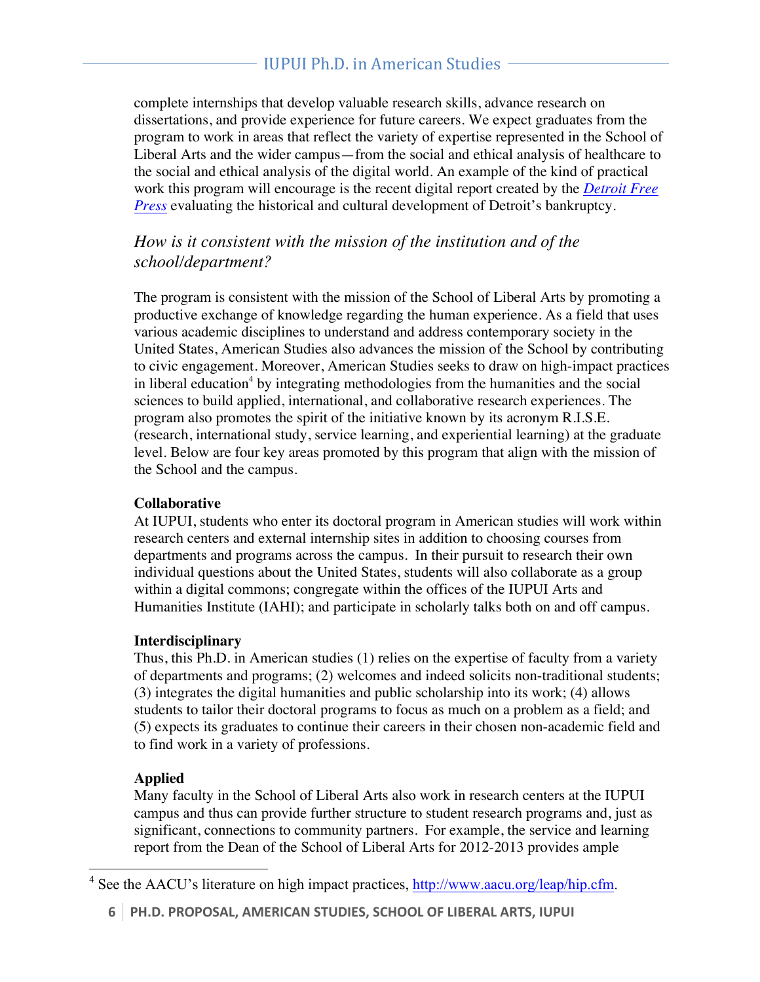## IUPUI Ph.D. in American Studies

complete internships that develop valuable research skills, advance research on dissertations, and provide experience for future careers. We expect graduates from the program to work in areas that reflect the variety of expertise represented in the School of Liberal Arts and the wider campus—from the social and ethical analysis of healthcare to the social and ethical analysis of the digital world. An example of the kind of practical work this program will encourage is the recent digital report created by the *Detroit Free Press* evaluating the historical and cultural development of Detroit's bankruptcy.

### *How is it consistent with the mission of the institution and of the school/department?*

The program is consistent with the mission of the School of Liberal Arts by promoting a productive exchange of knowledge regarding the human experience. As a field that uses various academic disciplines to understand and address contemporary society in the United States, American Studies also advances the mission of the School by contributing to civic engagement. Moreover, American Studies seeks to draw on high-impact practices in liberal education<sup>4</sup> by integrating methodologies from the humanities and the social sciences to build applied, international, and collaborative research experiences. The program also promotes the spirit of the initiative known by its acronym R.I.S.E. (research, international study, service learning, and experiential learning) at the graduate level. Below are four key areas promoted by this program that align with the mission of the School and the campus.

#### **Collaborative**

At IUPUI, students who enter its doctoral program in American studies will work within research centers and external internship sites in addition to choosing courses from departments and programs across the campus. In their pursuit to research their own individual questions about the United States, students will also collaborate as a group within a digital commons; congregate within the offices of the IUPUI Arts and Humanities Institute (IAHI); and participate in scholarly talks both on and off campus.

#### **Interdisciplinary**

Thus, this Ph.D. in American studies (1) relies on the expertise of faculty from a variety of departments and programs; (2) welcomes and indeed solicits non-traditional students; (3) integrates the digital humanities and public scholarship into its work; (4) allows students to tailor their doctoral programs to focus as much on a problem as a field; and (5) expects its graduates to continue their careers in their chosen non-academic field and to find work in a variety of professions.

#### **Applied**

Many faculty in the School of Liberal Arts also work in research centers at the IUPUI campus and thus can provide further structure to student research programs and, just as significant, connections to community partners. For example, the service and learning report from the Dean of the School of Liberal Arts for 2012-2013 provides ample

<sup>&</sup>lt;sup>4</sup> See the AACU's literature on high impact practices, http://www.aacu.org/leap/hip.cfm.

**<sup>6</sup> PH.D. PROPOSAL, AMERICAN STUDIES, SCHOOL OF LIBERAL ARTS, IUPUI**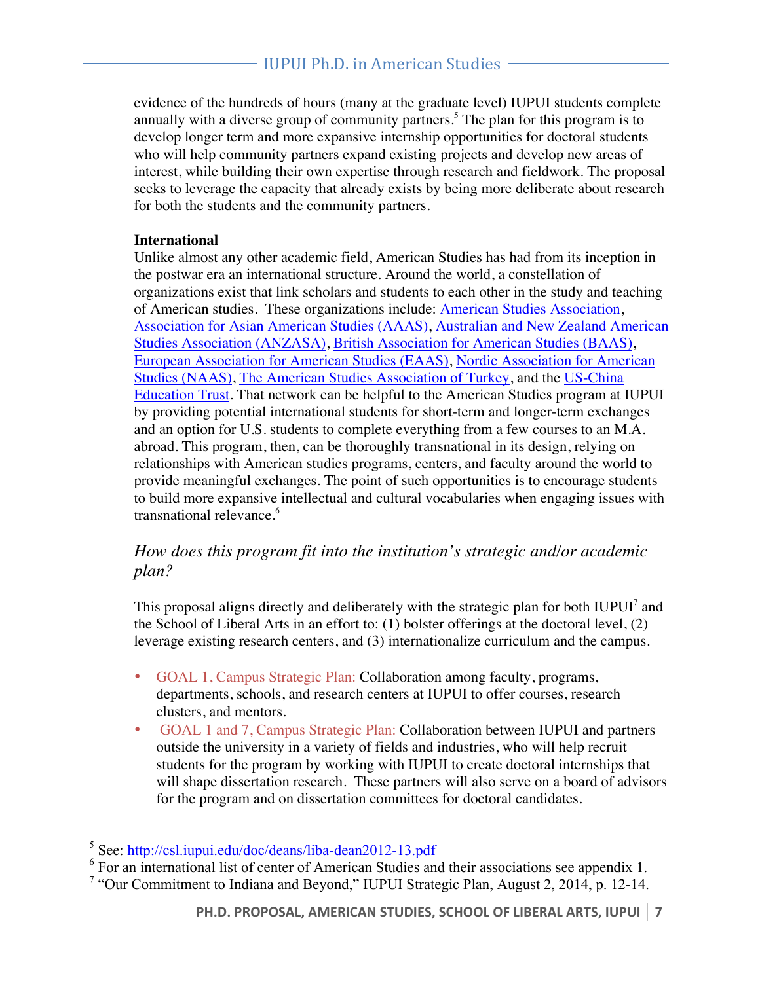evidence of the hundreds of hours (many at the graduate level) IUPUI students complete annually with a diverse group of community partners.<sup>5</sup> The plan for this program is to develop longer term and more expansive internship opportunities for doctoral students who will help community partners expand existing projects and develop new areas of interest, while building their own expertise through research and fieldwork. The proposal seeks to leverage the capacity that already exists by being more deliberate about research for both the students and the community partners.

#### **International**

Unlike almost any other academic field, American Studies has had from its inception in the postwar era an international structure. Around the world, a constellation of organizations exist that link scholars and students to each other in the study and teaching of American studies. These organizations include: American Studies Association, Association for Asian American Studies (AAAS), Australian and New Zealand American Studies Association (ANZASA), British Association for American Studies (BAAS), European Association for American Studies (EAAS), Nordic Association for American Studies (NAAS), The American Studies Association of Turkey, and the US-China Education Trust. That network can be helpful to the American Studies program at IUPUI by providing potential international students for short-term and longer-term exchanges and an option for U.S. students to complete everything from a few courses to an M.A. abroad. This program, then, can be thoroughly transnational in its design, relying on relationships with American studies programs, centers, and faculty around the world to provide meaningful exchanges. The point of such opportunities is to encourage students to build more expansive intellectual and cultural vocabularies when engaging issues with transnational relevance.<sup>6</sup>

### *How does this program fit into the institution's strategic and/or academic plan?*

This proposal aligns directly and deliberately with the strategic plan for both IUPUI<sup>7</sup> and the School of Liberal Arts in an effort to: (1) bolster offerings at the doctoral level, (2) leverage existing research centers, and (3) internationalize curriculum and the campus.

- GOAL 1, Campus Strategic Plan: Collaboration among faculty, programs, departments, schools, and research centers at IUPUI to offer courses, research clusters, and mentors.
- GOAL 1 and 7, Campus Strategic Plan: Collaboration between IUPUI and partners outside the university in a variety of fields and industries, who will help recruit students for the program by working with IUPUI to create doctoral internships that will shape dissertation research. These partners will also serve on a board of advisors for the program and on dissertation committees for doctoral candidates.

<sup>5</sup> See: http://csl.iupui.edu/doc/deans/liba-dean2012-13.pdf

<sup>6</sup> For an international list of center of American Studies and their associations see appendix 1.

<sup>7</sup> "Our Commitment to Indiana and Beyond," IUPUI Strategic Plan, August 2, 2014, p. 12-14.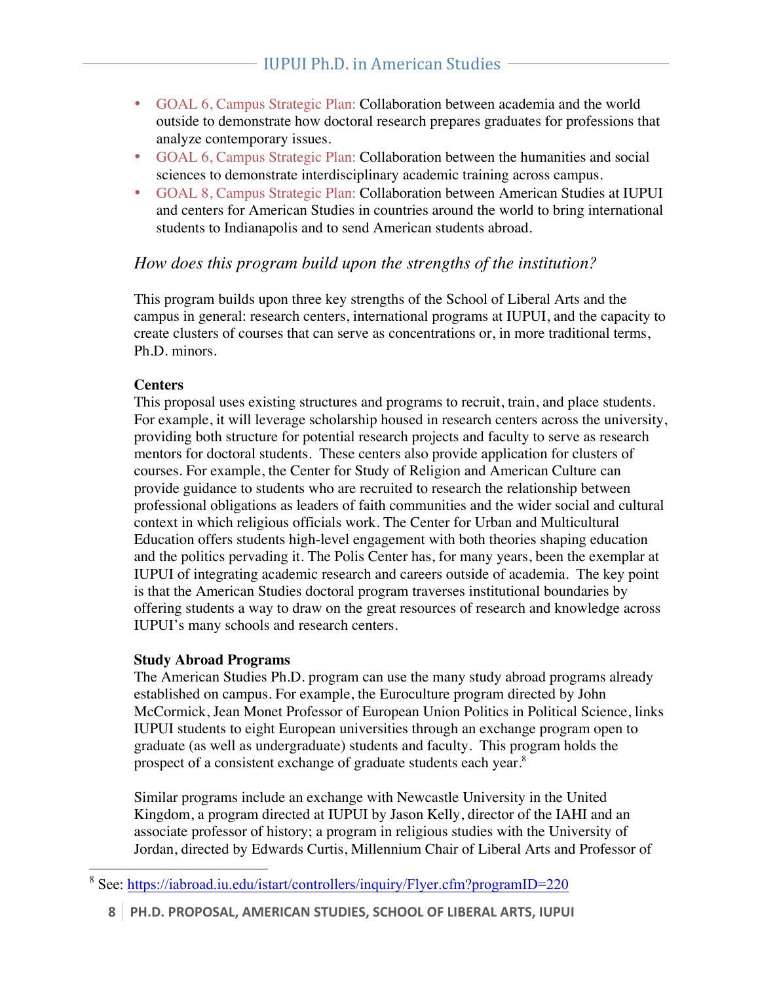- GOAL 6, Campus Strategic Plan: Collaboration between academia and the world outside to demonstrate how doctoral research prepares graduates for professions that analyze contemporary issues.
- GOAL 6, Campus Strategic Plan: Collaboration between the humanities and social sciences to demonstrate interdisciplinary academic training across campus.
- GOAL 8, Campus Strategic Plan: Collaboration between American Studies at IUPUI and centers for American Studies in countries around the world to bring international students to Indianapolis and to send American students abroad.

### *How does this program build upon the strengths of the institution?*

This program builds upon three key strengths of the School of Liberal Arts and the campus in general: research centers, international programs at IUPUI, and the capacity to create clusters of courses that can serve as concentrations or, in more traditional terms, Ph.D. minors.

#### **Centers**

This proposal uses existing structures and programs to recruit, train, and place students. For example, it will leverage scholarship housed in research centers across the university, providing both structure for potential research projects and faculty to serve as research mentors for doctoral students. These centers also provide application for clusters of courses. For example, the Center for Study of Religion and American Culture can provide guidance to students who are recruited to research the relationship between professional obligations as leaders of faith communities and the wider social and cultural context in which religious officials work. The Center for Urban and Multicultural Education offers students high-level engagement with both theories shaping education and the politics pervading it. The Polis Center has, for many years, been the exemplar at IUPUI of integrating academic research and careers outside of academia. The key point is that the American Studies doctoral program traverses institutional boundaries by offering students a way to draw on the great resources of research and knowledge across IUPUI's many schools and research centers.

#### **Study Abroad Programs**

The American Studies Ph.D. program can use the many study abroad programs already established on campus. For example, the Euroculture program directed by John McCormick, Jean Monet Professor of European Union Politics in Political Science, links IUPUI students to eight European universities through an exchange program open to graduate (as well as undergraduate) students and faculty. This program holds the prospect of a consistent exchange of graduate students each year.<sup>8</sup>

Similar programs include an exchange with Newcastle University in the United Kingdom, a program directed at IUPUI by Jason Kelly, director of the IAHI and an associate professor of history; a program in religious studies with the University of Jordan, directed by Edwards Curtis, Millennium Chair of Liberal Arts and Professor of

<sup>8</sup> See: https://iabroad.iu.edu/istart/controllers/inquiry/Flyer.cfm?programID=220

**<sup>8</sup> PH.D. PROPOSAL, AMERICAN STUDIES, SCHOOL OF LIBERAL ARTS, IUPUI**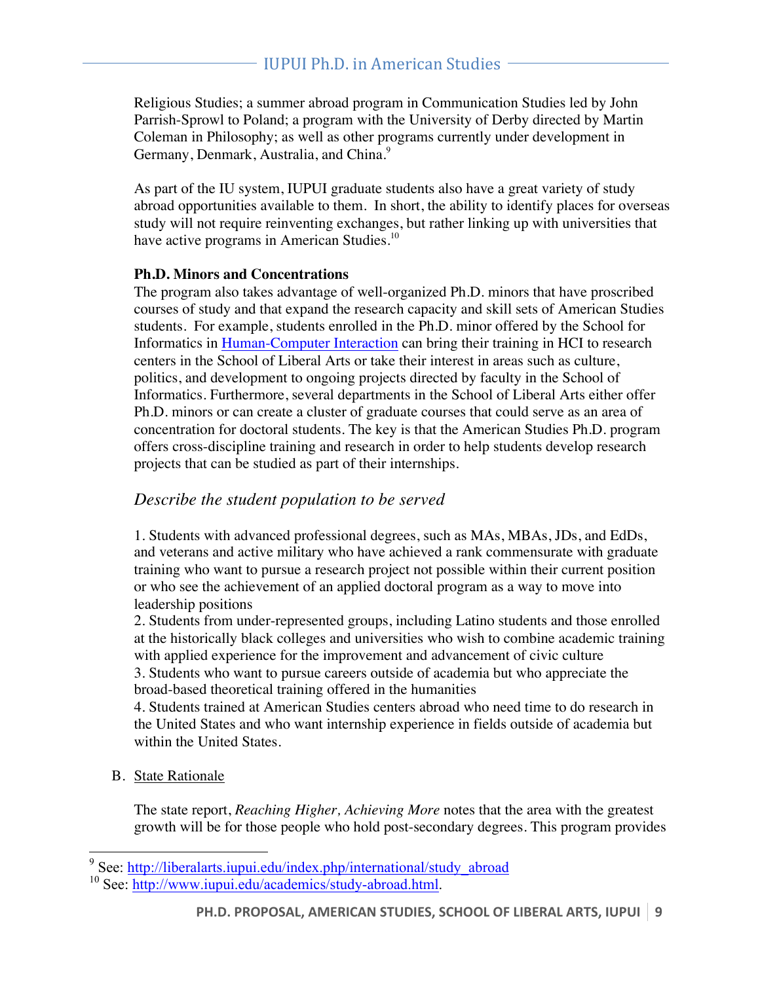Religious Studies; a summer abroad program in Communication Studies led by John Parrish-Sprowl to Poland; a program with the University of Derby directed by Martin Coleman in Philosophy; as well as other programs currently under development in Germany, Denmark, Australia, and China.<sup>9</sup>

As part of the IU system, IUPUI graduate students also have a great variety of study abroad opportunities available to them. In short, the ability to identify places for overseas study will not require reinventing exchanges, but rather linking up with universities that have active programs in American Studies.<sup>10</sup>

#### **Ph.D. Minors and Concentrations**

The program also takes advantage of well-organized Ph.D. minors that have proscribed courses of study and that expand the research capacity and skill sets of American Studies students. For example, students enrolled in the Ph.D. minor offered by the School for Informatics in Human-Computer Interaction can bring their training in HCI to research centers in the School of Liberal Arts or take their interest in areas such as culture, politics, and development to ongoing projects directed by faculty in the School of Informatics. Furthermore, several departments in the School of Liberal Arts either offer Ph.D. minors or can create a cluster of graduate courses that could serve as an area of concentration for doctoral students. The key is that the American Studies Ph.D. program offers cross-discipline training and research in order to help students develop research projects that can be studied as part of their internships.

#### *Describe the student population to be served*

1. Students with advanced professional degrees, such as MAs, MBAs, JDs, and EdDs, and veterans and active military who have achieved a rank commensurate with graduate training who want to pursue a research project not possible within their current position or who see the achievement of an applied doctoral program as a way to move into leadership positions

2. Students from under-represented groups, including Latino students and those enrolled at the historically black colleges and universities who wish to combine academic training with applied experience for the improvement and advancement of civic culture 3. Students who want to pursue careers outside of academia but who appreciate the broad-based theoretical training offered in the humanities

4. Students trained at American Studies centers abroad who need time to do research in the United States and who want internship experience in fields outside of academia but within the United States.

B. State Rationale

The state report, *Reaching Higher, Achieving More* notes that the area with the greatest growth will be for those people who hold post-secondary degrees. This program provides

<sup>9</sup> See: http://liberalarts.iupui.edu/index.php/international/study\_abroad

<sup>&</sup>lt;sup>10</sup> See: http://www.iupui.edu/academics/study-abroad.html.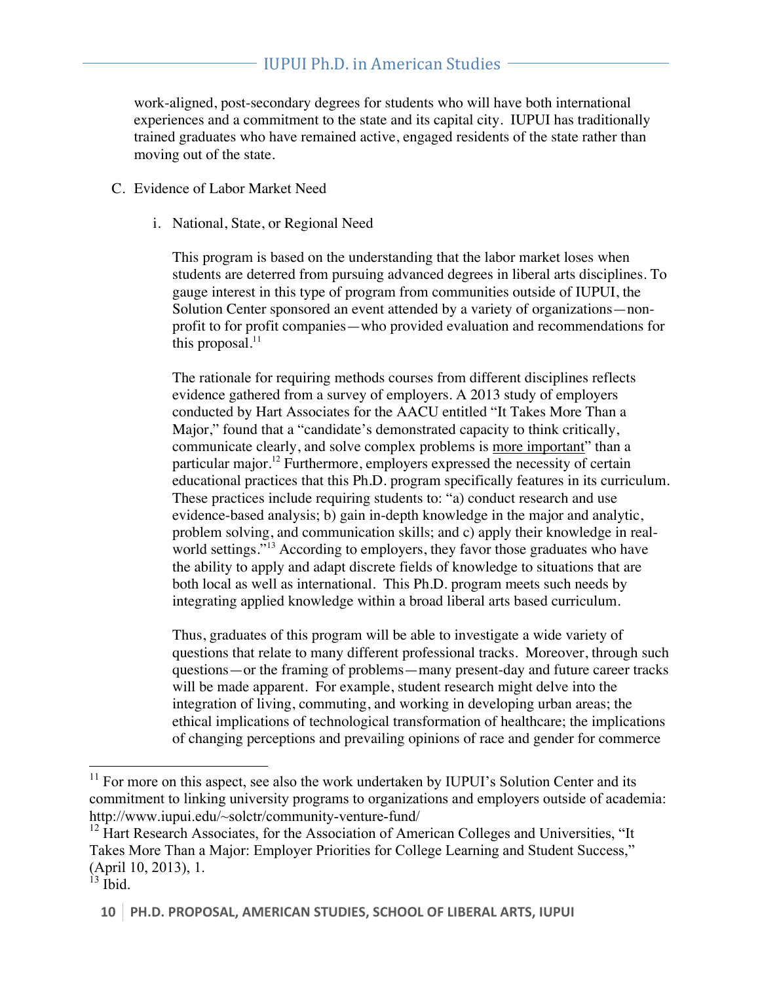work-aligned, post-secondary degrees for students who will have both international experiences and a commitment to the state and its capital city. IUPUI has traditionally trained graduates who have remained active, engaged residents of the state rather than moving out of the state.

- C. Evidence of Labor Market Need
	- i. National, State, or Regional Need

This program is based on the understanding that the labor market loses when students are deterred from pursuing advanced degrees in liberal arts disciplines. To gauge interest in this type of program from communities outside of IUPUI, the Solution Center sponsored an event attended by a variety of organizations—nonprofit to for profit companies—who provided evaluation and recommendations for this proposal. $^{11}$ 

The rationale for requiring methods courses from different disciplines reflects evidence gathered from a survey of employers. A 2013 study of employers conducted by Hart Associates for the AACU entitled "It Takes More Than a Major," found that a "candidate's demonstrated capacity to think critically, communicate clearly, and solve complex problems is more important" than a particular major.<sup>12</sup> Furthermore, employers expressed the necessity of certain educational practices that this Ph.D. program specifically features in its curriculum. These practices include requiring students to: "a) conduct research and use evidence-based analysis; b) gain in-depth knowledge in the major and analytic, problem solving, and communication skills; and c) apply their knowledge in realworld settings."<sup>13</sup> According to employers, they favor those graduates who have the ability to apply and adapt discrete fields of knowledge to situations that are both local as well as international. This Ph.D. program meets such needs by integrating applied knowledge within a broad liberal arts based curriculum.

Thus, graduates of this program will be able to investigate a wide variety of questions that relate to many different professional tracks. Moreover, through such questions—or the framing of problems—many present-day and future career tracks will be made apparent. For example, student research might delve into the integration of living, commuting, and working in developing urban areas; the ethical implications of technological transformation of healthcare; the implications of changing perceptions and prevailing opinions of race and gender for commerce

 $11$  For more on this aspect, see also the work undertaken by IUPUI's Solution Center and its commitment to linking university programs to organizations and employers outside of academia: http://www.iupui.edu/~solctr/community-venture-fund/

 $12$  Hart Research Associates, for the Association of American Colleges and Universities, "It Takes More Than a Major: Employer Priorities for College Learning and Student Success," (April 10, 2013), 1.

 $^{13}$  Ibid.

**<sup>10</sup> PH.D. PROPOSAL, AMERICAN STUDIES, SCHOOL OF LIBERAL ARTS, IUPUI**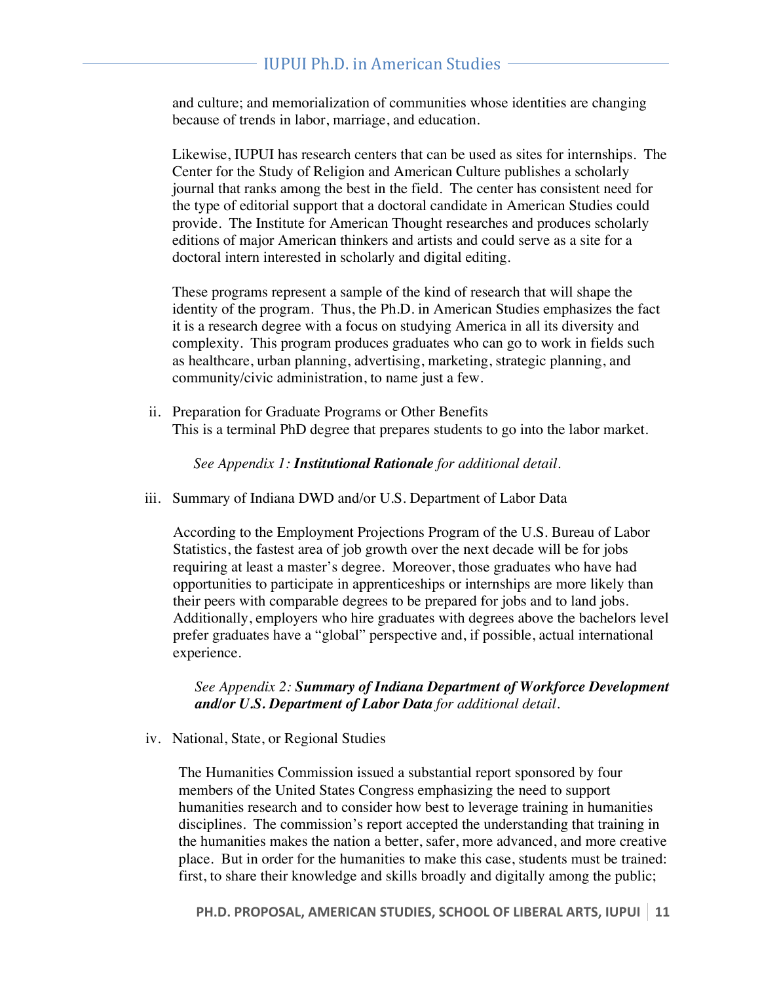and culture; and memorialization of communities whose identities are changing because of trends in labor, marriage, and education.

Likewise, IUPUI has research centers that can be used as sites for internships. The Center for the Study of Religion and American Culture publishes a scholarly journal that ranks among the best in the field. The center has consistent need for the type of editorial support that a doctoral candidate in American Studies could provide. The Institute for American Thought researches and produces scholarly editions of major American thinkers and artists and could serve as a site for a doctoral intern interested in scholarly and digital editing.

These programs represent a sample of the kind of research that will shape the identity of the program. Thus, the Ph.D. in American Studies emphasizes the fact it is a research degree with a focus on studying America in all its diversity and complexity. This program produces graduates who can go to work in fields such as healthcare, urban planning, advertising, marketing, strategic planning, and community/civic administration, to name just a few.

ii. Preparation for Graduate Programs or Other Benefits This is a terminal PhD degree that prepares students to go into the labor market.

*See Appendix 1: Institutional Rationale for additional detail.*

iii. Summary of Indiana DWD and/or U.S. Department of Labor Data

According to the Employment Projections Program of the U.S. Bureau of Labor Statistics, the fastest area of job growth over the next decade will be for jobs requiring at least a master's degree. Moreover, those graduates who have had opportunities to participate in apprenticeships or internships are more likely than their peers with comparable degrees to be prepared for jobs and to land jobs. Additionally, employers who hire graduates with degrees above the bachelors level prefer graduates have a "global" perspective and, if possible, actual international experience.

*See Appendix 2: Summary of Indiana Department of Workforce Development and/or U.S. Department of Labor Data for additional detail.*

iv. National, State, or Regional Studies

The Humanities Commission issued a substantial report sponsored by four members of the United States Congress emphasizing the need to support humanities research and to consider how best to leverage training in humanities disciplines. The commission's report accepted the understanding that training in the humanities makes the nation a better, safer, more advanced, and more creative place. But in order for the humanities to make this case, students must be trained: first, to share their knowledge and skills broadly and digitally among the public;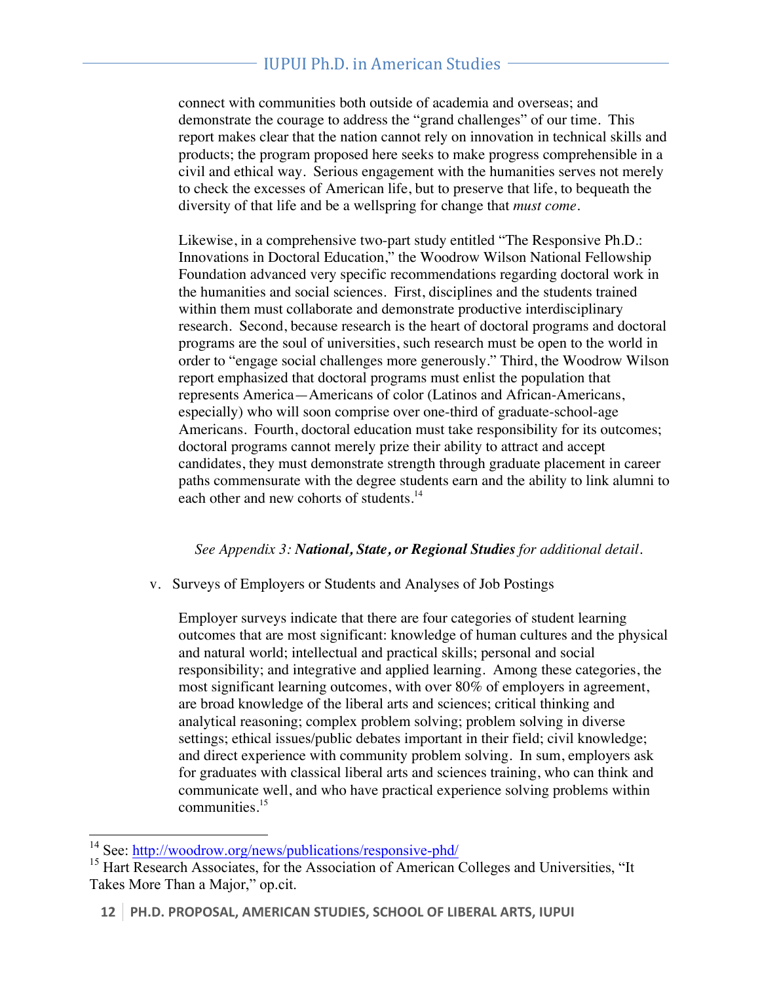## IUPUI Ph.D. in American Studies

connect with communities both outside of academia and overseas; and demonstrate the courage to address the "grand challenges" of our time. This report makes clear that the nation cannot rely on innovation in technical skills and products; the program proposed here seeks to make progress comprehensible in a civil and ethical way. Serious engagement with the humanities serves not merely to check the excesses of American life, but to preserve that life, to bequeath the diversity of that life and be a wellspring for change that *must come*.

Likewise, in a comprehensive two-part study entitled "The Responsive Ph.D.: Innovations in Doctoral Education," the Woodrow Wilson National Fellowship Foundation advanced very specific recommendations regarding doctoral work in the humanities and social sciences. First, disciplines and the students trained within them must collaborate and demonstrate productive interdisciplinary research. Second, because research is the heart of doctoral programs and doctoral programs are the soul of universities, such research must be open to the world in order to "engage social challenges more generously." Third, the Woodrow Wilson report emphasized that doctoral programs must enlist the population that represents America—Americans of color (Latinos and African-Americans, especially) who will soon comprise over one-third of graduate-school-age Americans. Fourth, doctoral education must take responsibility for its outcomes; doctoral programs cannot merely prize their ability to attract and accept candidates, they must demonstrate strength through graduate placement in career paths commensurate with the degree students earn and the ability to link alumni to each other and new cohorts of students.<sup>14</sup>

#### *See Appendix 3: National, State, or Regional Studies for additional detail.*

v. Surveys of Employers or Students and Analyses of Job Postings

Employer surveys indicate that there are four categories of student learning outcomes that are most significant: knowledge of human cultures and the physical and natural world; intellectual and practical skills; personal and social responsibility; and integrative and applied learning. Among these categories, the most significant learning outcomes, with over 80% of employers in agreement, are broad knowledge of the liberal arts and sciences; critical thinking and analytical reasoning; complex problem solving; problem solving in diverse settings; ethical issues/public debates important in their field; civil knowledge; and direct experience with community problem solving. In sum, employers ask for graduates with classical liberal arts and sciences training, who can think and communicate well, and who have practical experience solving problems within communities.<sup>15</sup>

<sup>14</sup> See: http://woodrow.org/news/publications/responsive-phd/

<sup>&</sup>lt;sup>15</sup> Hart Research Associates, for the Association of American Colleges and Universities, "It Takes More Than a Major," op.cit.

**<sup>12</sup> PH.D. PROPOSAL, AMERICAN STUDIES, SCHOOL OF LIBERAL ARTS, IUPUI**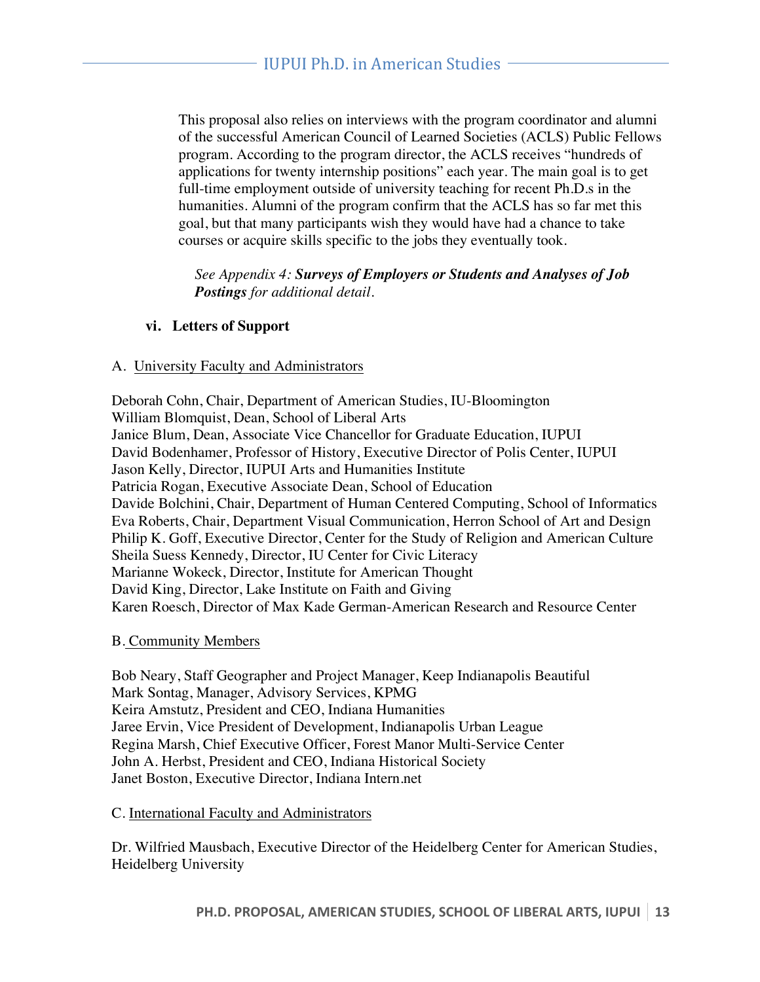This proposal also relies on interviews with the program coordinator and alumni of the successful American Council of Learned Societies (ACLS) Public Fellows program. According to the program director, the ACLS receives "hundreds of applications for twenty internship positions" each year. The main goal is to get full-time employment outside of university teaching for recent Ph.D.s in the humanities. Alumni of the program confirm that the ACLS has so far met this goal, but that many participants wish they would have had a chance to take courses or acquire skills specific to the jobs they eventually took.

*See Appendix 4: Surveys of Employers or Students and Analyses of Job Postings for additional detail.*

#### **vi. Letters of Support**

#### A. University Faculty and Administrators

Deborah Cohn, Chair, Department of American Studies, IU-Bloomington William Blomquist, Dean, School of Liberal Arts Janice Blum, Dean, Associate Vice Chancellor for Graduate Education, IUPUI David Bodenhamer, Professor of History, Executive Director of Polis Center, IUPUI Jason Kelly, Director, IUPUI Arts and Humanities Institute Patricia Rogan, Executive Associate Dean, School of Education Davide Bolchini, Chair, Department of Human Centered Computing, School of Informatics Eva Roberts, Chair, Department Visual Communication, Herron School of Art and Design Philip K. Goff, Executive Director, Center for the Study of Religion and American Culture Sheila Suess Kennedy, Director, IU Center for Civic Literacy Marianne Wokeck, Director, Institute for American Thought David King, Director, Lake Institute on Faith and Giving Karen Roesch, Director of Max Kade German-American Research and Resource Center

#### B. Community Members

Bob Neary, Staff Geographer and Project Manager, Keep Indianapolis Beautiful Mark Sontag, Manager, Advisory Services, KPMG Keira Amstutz, President and CEO, Indiana Humanities Jaree Ervin, Vice President of Development, Indianapolis Urban League Regina Marsh, Chief Executive Officer, Forest Manor Multi-Service Center John A. Herbst, President and CEO, Indiana Historical Society Janet Boston, Executive Director, Indiana Intern.net

#### C. International Faculty and Administrators

Dr. Wilfried Mausbach, Executive Director of the Heidelberg Center for American Studies, Heidelberg University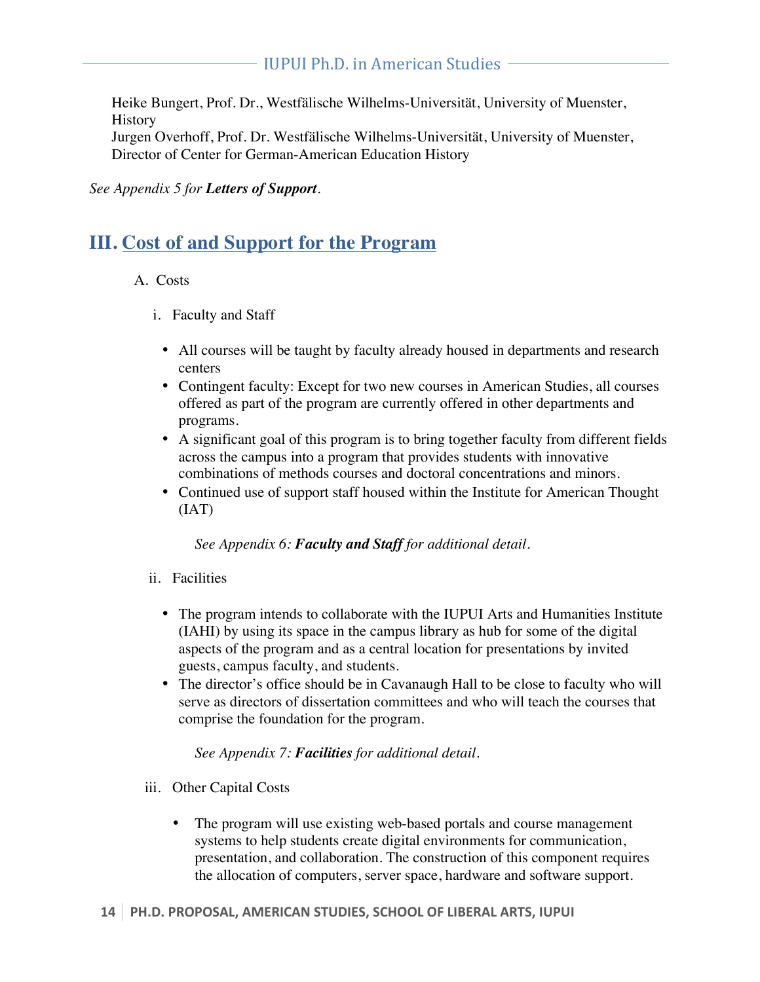Heike Bungert, Prof. Dr., Westfälische Wilhelms-Universität, University of Muenster, History Jurgen Overhoff, Prof. Dr. Westfälische Wilhelms-Universität, University of Muenster, Director of Center for German-American Education History

*See Appendix 5 for Letters of Support.* 

## **III. Cost of and Support for the Program**

#### A. Costs

- i. Faculty and Staff
	- All courses will be taught by faculty already housed in departments and research centers
	- Contingent faculty: Except for two new courses in American Studies, all courses offered as part of the program are currently offered in other departments and programs.
	- A significant goal of this program is to bring together faculty from different fields across the campus into a program that provides students with innovative combinations of methods courses and doctoral concentrations and minors.
	- Continued use of support staff housed within the Institute for American Thought (IAT)

*See Appendix 6: Faculty and Staff for additional detail.*

- ii. Facilities
	- The program intends to collaborate with the IUPUI Arts and Humanities Institute (IAHI) by using its space in the campus library as hub for some of the digital aspects of the program and as a central location for presentations by invited guests, campus faculty, and students.
	- The director's office should be in Cavanaugh Hall to be close to faculty who will serve as directors of dissertation committees and who will teach the courses that comprise the foundation for the program.

*See Appendix 7: Facilities for additional detail.* 

- iii. Other Capital Costs
	- The program will use existing web-based portals and course management systems to help students create digital environments for communication, presentation, and collaboration. The construction of this component requires the allocation of computers, server space, hardware and software support.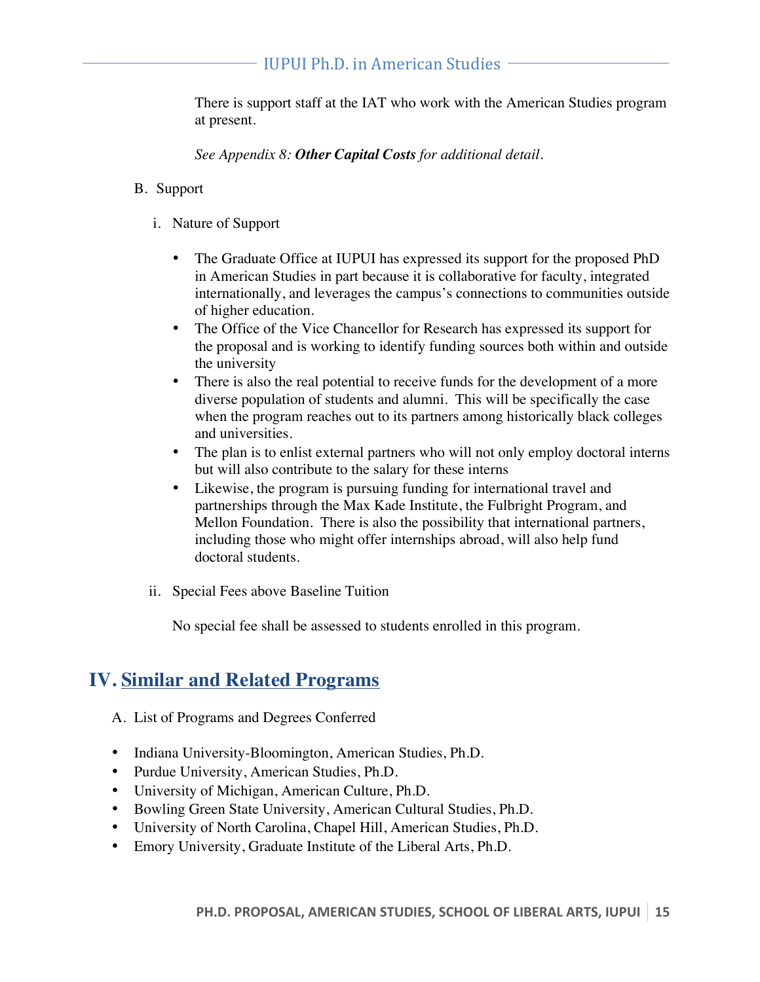There is support staff at the IAT who work with the American Studies program at present.

*See Appendix 8: Other Capital Costs for additional detail.* 

#### B. Support

- i. Nature of Support
	- The Graduate Office at IUPUI has expressed its support for the proposed PhD in American Studies in part because it is collaborative for faculty, integrated internationally, and leverages the campus's connections to communities outside of higher education.
	- The Office of the Vice Chancellor for Research has expressed its support for the proposal and is working to identify funding sources both within and outside the university
	- There is also the real potential to receive funds for the development of a more diverse population of students and alumni. This will be specifically the case when the program reaches out to its partners among historically black colleges and universities.
	- The plan is to enlist external partners who will not only employ doctoral interns but will also contribute to the salary for these interns
	- Likewise, the program is pursuing funding for international travel and partnerships through the Max Kade Institute, the Fulbright Program, and Mellon Foundation. There is also the possibility that international partners, including those who might offer internships abroad, will also help fund doctoral students.
- ii. Special Fees above Baseline Tuition

No special fee shall be assessed to students enrolled in this program.

## **IV. Similar and Related Programs**

- A. List of Programs and Degrees Conferred
- Indiana University-Bloomington, American Studies, Ph.D.
- Purdue University, American Studies, Ph.D.
- University of Michigan, American Culture, Ph.D.
- Bowling Green State University, American Cultural Studies, Ph.D.
- University of North Carolina, Chapel Hill, American Studies, Ph.D.
- Emory University, Graduate Institute of the Liberal Arts, Ph.D.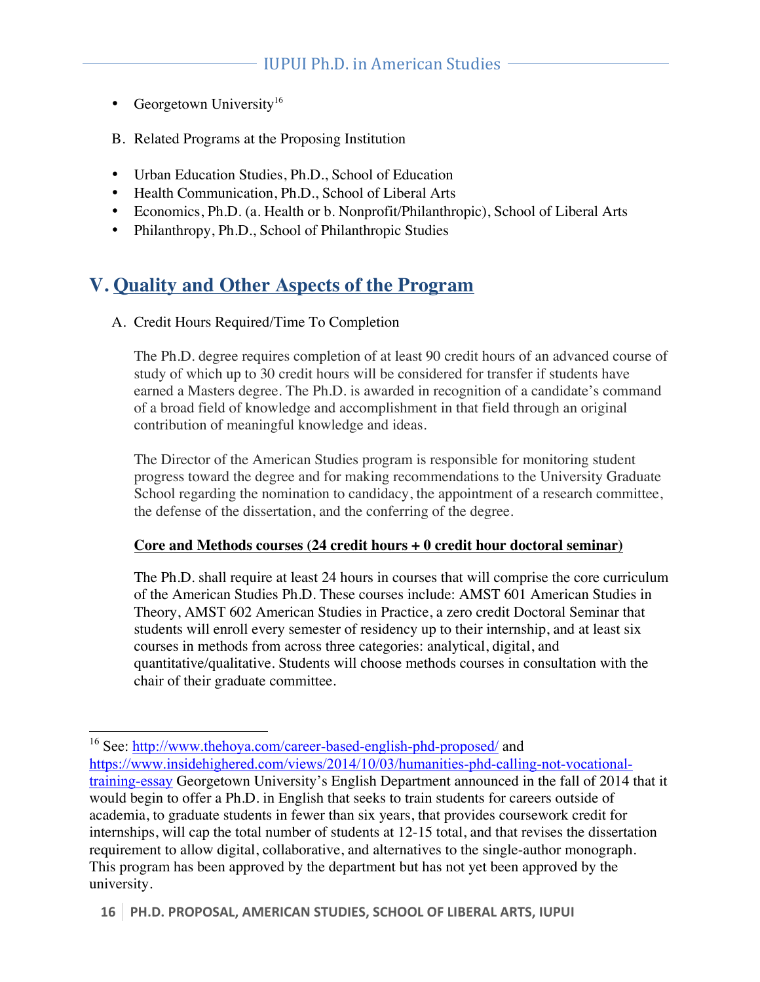- Georgetown University<sup>16</sup>
- B. Related Programs at the Proposing Institution
- Urban Education Studies, Ph.D., School of Education
- Health Communication, Ph.D., School of Liberal Arts
- Economics, Ph.D. (a. Health or b. Nonprofit/Philanthropic), School of Liberal Arts
- Philanthropy, Ph.D., School of Philanthropic Studies

## **V. Quality and Other Aspects of the Program**

A. Credit Hours Required/Time To Completion

The Ph.D. degree requires completion of at least 90 credit hours of an advanced course of study of which up to 30 credit hours will be considered for transfer if students have earned a Masters degree. The Ph.D. is awarded in recognition of a candidate's command of a broad field of knowledge and accomplishment in that field through an original contribution of meaningful knowledge and ideas.

The Director of the American Studies program is responsible for monitoring student progress toward the degree and for making recommendations to the University Graduate School regarding the nomination to candidacy, the appointment of a research committee, the defense of the dissertation, and the conferring of the degree.

#### **Core and Methods courses (24 credit hours + 0 credit hour doctoral seminar)**

The Ph.D. shall require at least 24 hours in courses that will comprise the core curriculum of the American Studies Ph.D. These courses include: AMST 601 American Studies in Theory, AMST 602 American Studies in Practice, a zero credit Doctoral Seminar that students will enroll every semester of residency up to their internship, and at least six courses in methods from across three categories: analytical, digital, and quantitative/qualitative. Students will choose methods courses in consultation with the chair of their graduate committee.

<sup>&</sup>lt;sup>16</sup> See: http://www.thehoya.com/career-based-english-phd-proposed/ and

https://www.insidehighered.com/views/2014/10/03/humanities-phd-calling-not-vocationaltraining-essay Georgetown University's English Department announced in the fall of 2014 that it would begin to offer a Ph.D. in English that seeks to train students for careers outside of academia, to graduate students in fewer than six years, that provides coursework credit for internships, will cap the total number of students at 12-15 total, and that revises the dissertation requirement to allow digital, collaborative, and alternatives to the single-author monograph. This program has been approved by the department but has not yet been approved by the university.

**<sup>16</sup> PH.D. PROPOSAL, AMERICAN STUDIES, SCHOOL OF LIBERAL ARTS, IUPUI**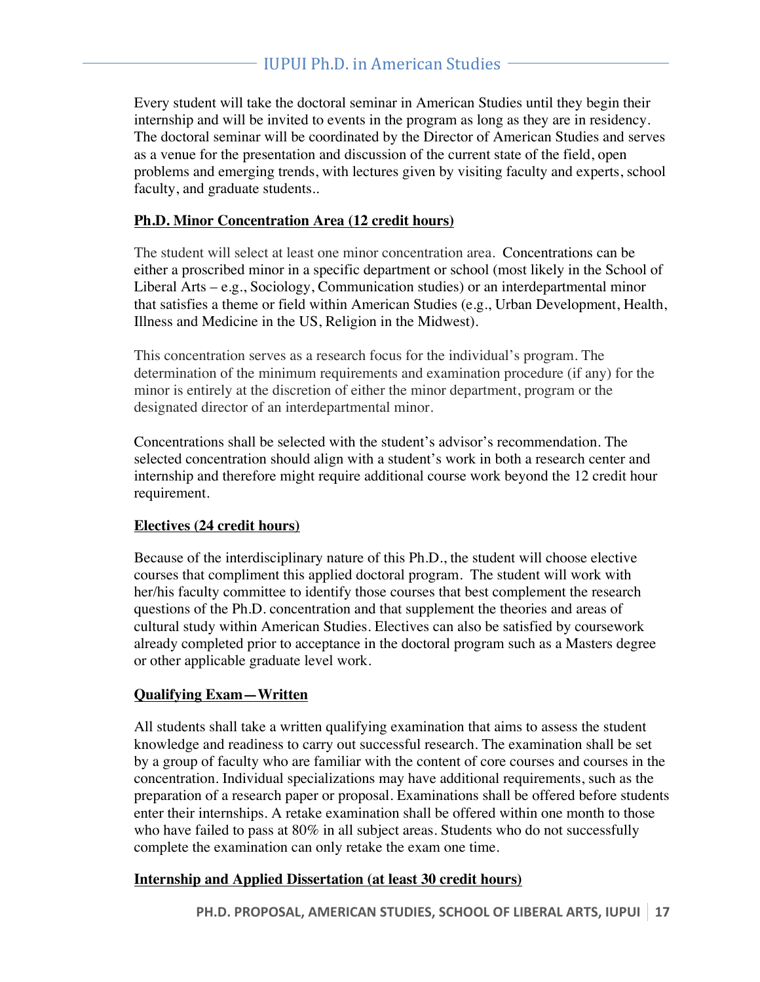Every student will take the doctoral seminar in American Studies until they begin their internship and will be invited to events in the program as long as they are in residency. The doctoral seminar will be coordinated by the Director of American Studies and serves as a venue for the presentation and discussion of the current state of the field, open problems and emerging trends, with lectures given by visiting faculty and experts, school faculty, and graduate students..

#### **Ph.D. Minor Concentration Area (12 credit hours)**

The student will select at least one minor concentration area. Concentrations can be either a proscribed minor in a specific department or school (most likely in the School of Liberal Arts – e.g., Sociology, Communication studies) or an interdepartmental minor that satisfies a theme or field within American Studies (e.g., Urban Development, Health, Illness and Medicine in the US, Religion in the Midwest).

This concentration serves as a research focus for the individual's program. The determination of the minimum requirements and examination procedure (if any) for the minor is entirely at the discretion of either the minor department, program or the designated director of an interdepartmental minor.

Concentrations shall be selected with the student's advisor's recommendation. The selected concentration should align with a student's work in both a research center and internship and therefore might require additional course work beyond the 12 credit hour requirement.

#### **Electives (24 credit hours)**

Because of the interdisciplinary nature of this Ph.D., the student will choose elective courses that compliment this applied doctoral program. The student will work with her/his faculty committee to identify those courses that best complement the research questions of the Ph.D. concentration and that supplement the theories and areas of cultural study within American Studies. Electives can also be satisfied by coursework already completed prior to acceptance in the doctoral program such as a Masters degree or other applicable graduate level work.

#### **Qualifying Exam—Written**

All students shall take a written qualifying examination that aims to assess the student knowledge and readiness to carry out successful research. The examination shall be set by a group of faculty who are familiar with the content of core courses and courses in the concentration. Individual specializations may have additional requirements, such as the preparation of a research paper or proposal. Examinations shall be offered before students enter their internships. A retake examination shall be offered within one month to those who have failed to pass at 80% in all subject areas. Students who do not successfully complete the examination can only retake the exam one time.

#### **Internship and Applied Dissertation (at least 30 credit hours)**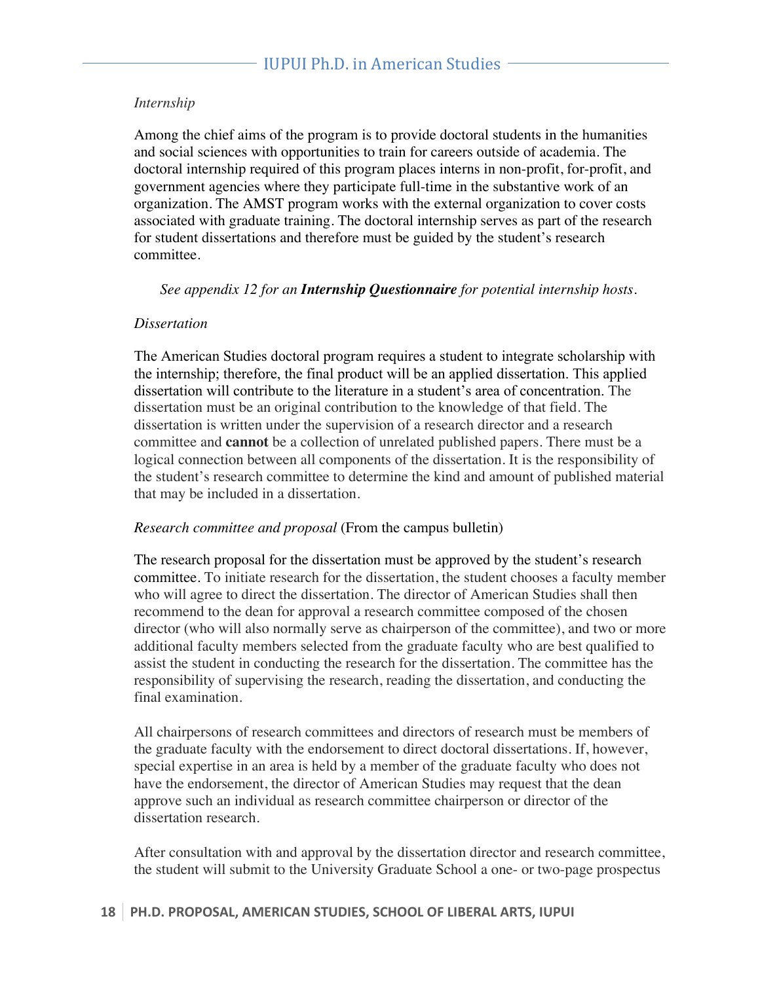#### *Internship*

Among the chief aims of the program is to provide doctoral students in the humanities and social sciences with opportunities to train for careers outside of academia. The doctoral internship required of this program places interns in non-profit, for-profit, and government agencies where they participate full-time in the substantive work of an organization. The AMST program works with the external organization to cover costs associated with graduate training. The doctoral internship serves as part of the research for student dissertations and therefore must be guided by the student's research committee.

*See appendix 12 for an Internship Questionnaire for potential internship hosts.*

#### *Dissertation*

The American Studies doctoral program requires a student to integrate scholarship with the internship; therefore, the final product will be an applied dissertation. This applied dissertation will contribute to the literature in a student's area of concentration. The dissertation must be an original contribution to the knowledge of that field. The dissertation is written under the supervision of a research director and a research committee and **cannot** be a collection of unrelated published papers. There must be a logical connection between all components of the dissertation. It is the responsibility of the student's research committee to determine the kind and amount of published material that may be included in a dissertation.

#### *Research committee and proposal* (From the campus bulletin)

The research proposal for the dissertation must be approved by the student's research committee. To initiate research for the dissertation, the student chooses a faculty member who will agree to direct the dissertation. The director of American Studies shall then recommend to the dean for approval a research committee composed of the chosen director (who will also normally serve as chairperson of the committee), and two or more additional faculty members selected from the graduate faculty who are best qualified to assist the student in conducting the research for the dissertation. The committee has the responsibility of supervising the research, reading the dissertation, and conducting the final examination.

All chairpersons of research committees and directors of research must be members of the graduate faculty with the endorsement to direct doctoral dissertations. If, however, special expertise in an area is held by a member of the graduate faculty who does not have the endorsement, the director of American Studies may request that the dean approve such an individual as research committee chairperson or director of the dissertation research.

After consultation with and approval by the dissertation director and research committee, the student will submit to the University Graduate School a one- or two-page prospectus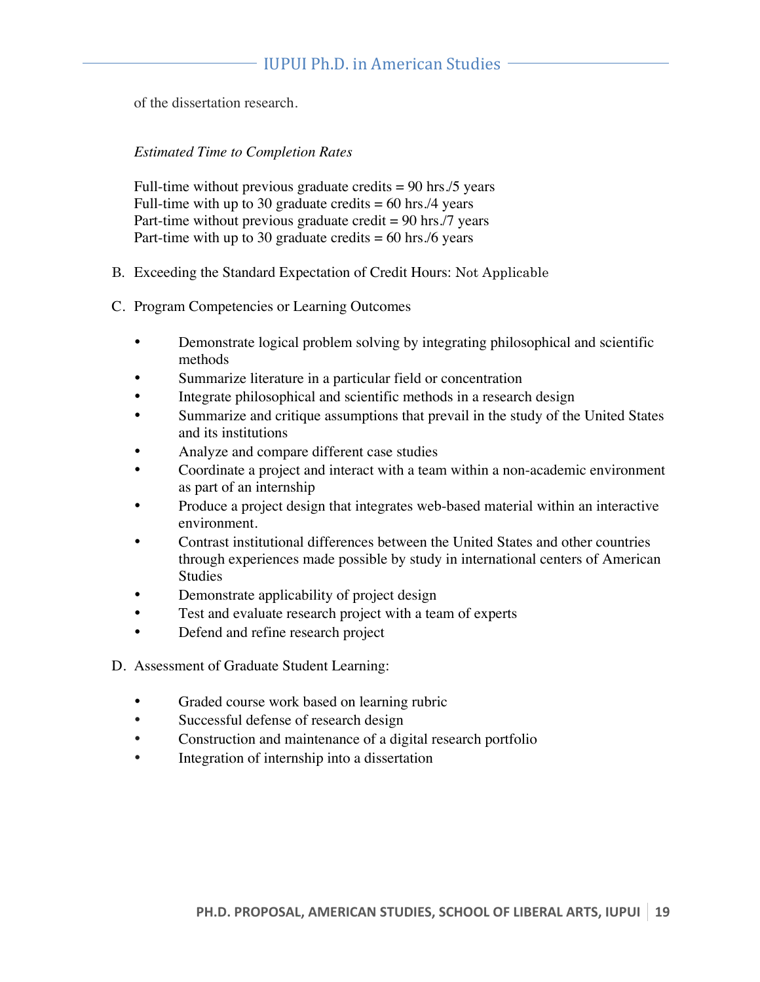of the dissertation research.

#### *Estimated Time to Completion Rates*

Full-time without previous graduate credits  $= 90$  hrs./5 years Full-time with up to 30 graduate credits  $= 60$  hrs./4 years Part-time without previous graduate credit  $= 90$  hrs./7 years Part-time with up to 30 graduate credits  $= 60$  hrs./6 years

- B. Exceeding the Standard Expectation of Credit Hours: Not Applicable
- C. Program Competencies or Learning Outcomes
	- Demonstrate logical problem solving by integrating philosophical and scientific methods
	- Summarize literature in a particular field or concentration
	- Integrate philosophical and scientific methods in a research design
	- Summarize and critique assumptions that prevail in the study of the United States and its institutions
	- Analyze and compare different case studies
	- Coordinate a project and interact with a team within a non-academic environment as part of an internship
	- Produce a project design that integrates web-based material within an interactive environment.
	- Contrast institutional differences between the United States and other countries through experiences made possible by study in international centers of American Studies
	- Demonstrate applicability of project design
	- Test and evaluate research project with a team of experts
	- Defend and refine research project
- D. Assessment of Graduate Student Learning:
	- Graded course work based on learning rubric
	- Successful defense of research design
	- Construction and maintenance of a digital research portfolio
	- Integration of internship into a dissertation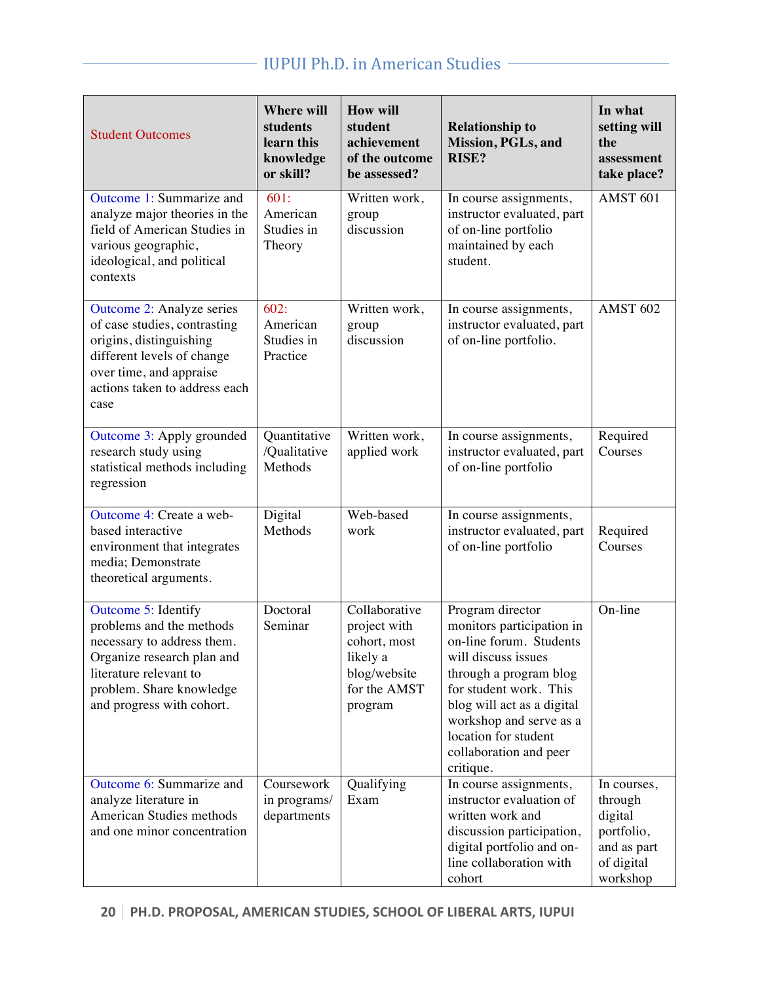## - IUPUI Ph.D. in American Studies -

| <b>Student Outcomes</b>                                                                                                                                                                        | <b>Where will</b><br>students<br>learn this<br>knowledge<br>or skill? | <b>How will</b><br>student<br>achievement<br>of the outcome<br>be assessed?                          | <b>Relationship to</b><br>Mission, PGLs, and<br>RISE?                                                                                                                                                                                                                       | In what<br>setting will<br>the<br>assessment<br>take place?                              |
|------------------------------------------------------------------------------------------------------------------------------------------------------------------------------------------------|-----------------------------------------------------------------------|------------------------------------------------------------------------------------------------------|-----------------------------------------------------------------------------------------------------------------------------------------------------------------------------------------------------------------------------------------------------------------------------|------------------------------------------------------------------------------------------|
| Outcome 1: Summarize and<br>analyze major theories in the<br>field of American Studies in<br>various geographic,<br>ideological, and political<br>contexts                                     | 601:<br>American<br>Studies in<br>Theory                              | Written work,<br>group<br>discussion                                                                 | In course assignments,<br>instructor evaluated, part<br>of on-line portfolio<br>maintained by each<br>student.                                                                                                                                                              | AMST <sub>601</sub>                                                                      |
| Outcome 2: Analyze series<br>of case studies, contrasting<br>origins, distinguishing<br>different levels of change<br>over time, and appraise<br>actions taken to address each<br>case         | 602:<br>American<br>Studies in<br>Practice                            | Written work,<br>group<br>discussion                                                                 | In course assignments,<br>instructor evaluated, part<br>of on-line portfolio.                                                                                                                                                                                               | <b>AMST 602</b>                                                                          |
| Outcome 3: Apply grounded<br>research study using<br>statistical methods including<br>regression                                                                                               | Quantitative<br>/Qualitative<br>Methods                               | Written work,<br>applied work                                                                        | In course assignments,<br>instructor evaluated, part<br>of on-line portfolio                                                                                                                                                                                                | Required<br>Courses                                                                      |
| Outcome 4: Create a web-<br>based interactive<br>environment that integrates<br>media; Demonstrate<br>theoretical arguments.                                                                   | Digital<br>Methods                                                    | Web-based<br>work                                                                                    | In course assignments,<br>instructor evaluated, part<br>of on-line portfolio                                                                                                                                                                                                | Required<br>Courses                                                                      |
| Outcome 5: Identify<br>problems and the methods<br>necessary to address them.<br>Organize research plan and<br>literature relevant to<br>problem. Share knowledge<br>and progress with cohort. | Doctoral<br>Seminar                                                   | Collaborative<br>project with<br>cohort, most<br>likely a<br>blog/website<br>for the AMST<br>program | Program director<br>monitors participation in<br>on-line forum. Students<br>will discuss issues<br>through a program blog<br>for student work. This<br>blog will act as a digital<br>workshop and serve as a<br>location for student<br>collaboration and peer<br>critique. | On-line                                                                                  |
| Outcome 6: Summarize and<br>analyze literature in<br>American Studies methods<br>and one minor concentration                                                                                   | Coursework<br>in programs/<br>departments                             | Qualifying<br>Exam                                                                                   | In course assignments,<br>instructor evaluation of<br>written work and<br>discussion participation,<br>digital portfolio and on-<br>line collaboration with<br>cohort                                                                                                       | In courses,<br>through<br>digital<br>portfolio,<br>and as part<br>of digital<br>workshop |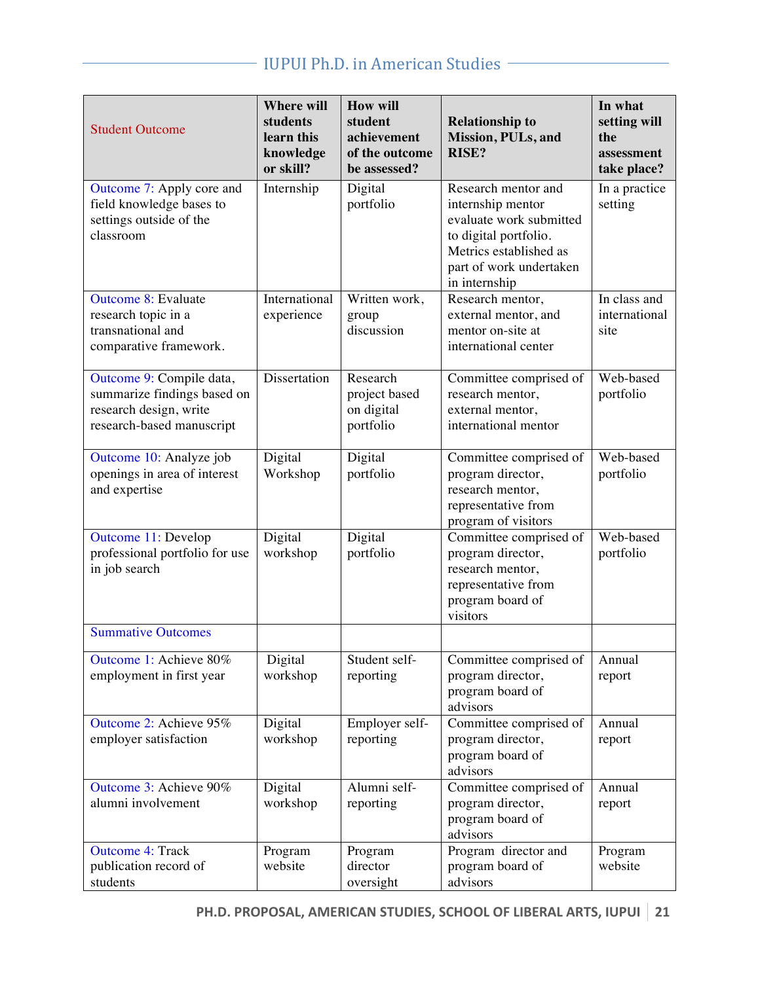# IUPUI Ph.D. in American Studies

| <b>Student Outcome</b>                                                                                         | <b>Where will</b><br>students<br>learn this<br>knowledge<br>or skill? | <b>How will</b><br>student<br>achievement<br>of the outcome<br>be assessed? | <b>Relationship to</b><br>Mission, PULs, and<br><b>RISE?</b>                                                                                                       | In what<br>setting will<br>the<br>assessment<br>take place? |
|----------------------------------------------------------------------------------------------------------------|-----------------------------------------------------------------------|-----------------------------------------------------------------------------|--------------------------------------------------------------------------------------------------------------------------------------------------------------------|-------------------------------------------------------------|
| Outcome 7: Apply core and<br>field knowledge bases to<br>settings outside of the<br>classroom                  | Internship                                                            | Digital<br>portfolio                                                        | Research mentor and<br>internship mentor<br>evaluate work submitted<br>to digital portfolio.<br>Metrics established as<br>part of work undertaken<br>in internship | In a practice<br>setting                                    |
| <b>Outcome 8: Evaluate</b><br>research topic in a<br>transnational and<br>comparative framework.               | International<br>experience                                           | Written work,<br>group<br>discussion                                        | Research mentor,<br>external mentor, and<br>mentor on-site at<br>international center                                                                              | In class and<br>international<br>site                       |
| Outcome 9: Compile data,<br>summarize findings based on<br>research design, write<br>research-based manuscript | Dissertation                                                          | Research<br>project based<br>on digital<br>portfolio                        | Committee comprised of<br>research mentor,<br>external mentor,<br>international mentor                                                                             | Web-based<br>portfolio                                      |
| Outcome 10: Analyze job<br>openings in area of interest<br>and expertise                                       | Digital<br>Workshop                                                   | Digital<br>portfolio                                                        | Committee comprised of<br>program director,<br>research mentor,<br>representative from<br>program of visitors                                                      | Web-based<br>portfolio                                      |
| Outcome 11: Develop<br>professional portfolio for use<br>in job search                                         | Digital<br>workshop                                                   | Digital<br>portfolio                                                        | Committee comprised of<br>program director,<br>research mentor,<br>representative from<br>program board of<br>visitors                                             | Web-based<br>portfolio                                      |
| <b>Summative Outcomes</b>                                                                                      |                                                                       |                                                                             |                                                                                                                                                                    |                                                             |
| Outcome 1: Achieve 80%<br>employment in first year                                                             | Digital<br>workshop                                                   | Student self-<br>reporting                                                  | Committee comprised of<br>program director,<br>program board of<br>advisors                                                                                        | Annual<br>report                                            |
| Outcome 2: Achieve 95%<br>employer satisfaction                                                                | Digital<br>workshop                                                   | Employer self-<br>reporting                                                 | Committee comprised of<br>program director,<br>program board of<br>advisors                                                                                        | Annual<br>report                                            |
| Outcome 3: Achieve 90%<br>alumni involvement                                                                   | Digital<br>workshop                                                   | Alumni self-<br>reporting                                                   | Committee comprised of<br>program director,<br>program board of<br>advisors                                                                                        | Annual<br>report                                            |
| <b>Outcome 4: Track</b><br>publication record of<br>students                                                   | Program<br>website                                                    | Program<br>director<br>oversight                                            | Program director and<br>program board of<br>advisors                                                                                                               | Program<br>website                                          |